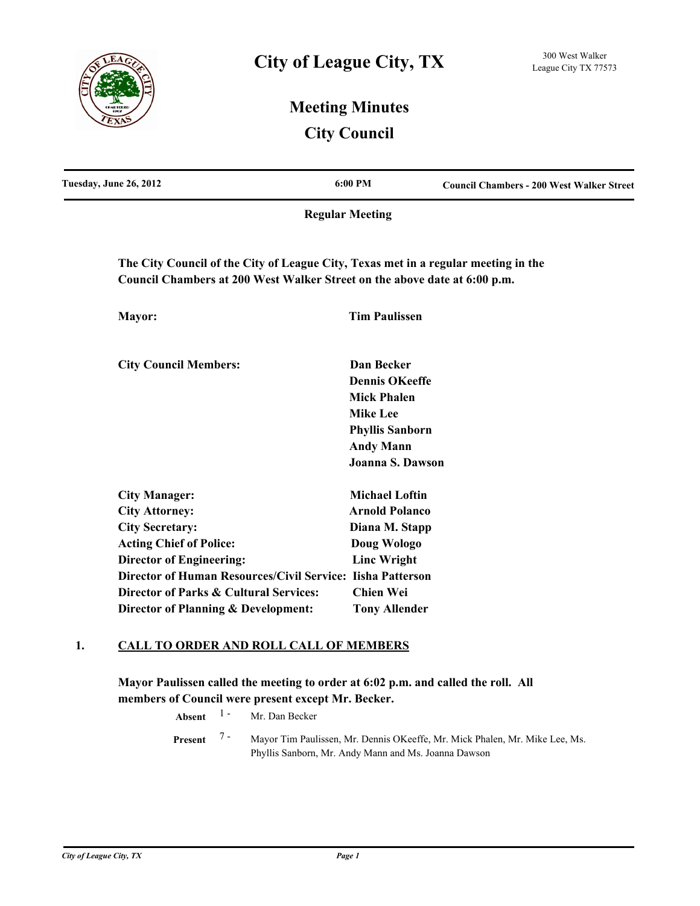

## **Meeting Minutes City Council**

| Tuesday, June 26, 2012                                                                                                                                          | 6:00 PM                             | <b>Council Chambers - 200 West Walker Street</b> |
|-----------------------------------------------------------------------------------------------------------------------------------------------------------------|-------------------------------------|--------------------------------------------------|
|                                                                                                                                                                 | <b>Regular Meeting</b>              |                                                  |
| The City Council of the City of League City, Texas met in a regular meeting in the<br>Council Chambers at 200 West Walker Street on the above date at 6:00 p.m. |                                     |                                                  |
| Mayor:                                                                                                                                                          | <b>Tim Paulissen</b>                |                                                  |
| <b>City Council Members:</b>                                                                                                                                    | Dan Becker<br><b>Dennis OKeeffe</b> |                                                  |
|                                                                                                                                                                 | <b>Mick Phalen</b>                  |                                                  |
|                                                                                                                                                                 | <b>Mike Lee</b>                     |                                                  |
|                                                                                                                                                                 | <b>Phyllis Sanborn</b>              |                                                  |
|                                                                                                                                                                 | <b>Andy Mann</b>                    |                                                  |
|                                                                                                                                                                 | <b>Joanna S. Dawson</b>             |                                                  |
| <b>City Manager:</b>                                                                                                                                            | <b>Michael Loftin</b>               |                                                  |
| <b>City Attorney:</b>                                                                                                                                           | <b>Arnold Polanco</b>               |                                                  |
| <b>City Secretary:</b>                                                                                                                                          | Diana M. Stapp                      |                                                  |
| <b>Acting Chief of Police:</b>                                                                                                                                  | Doug Wologo                         |                                                  |
| <b>Director of Engineering:</b>                                                                                                                                 | <b>Linc Wright</b>                  |                                                  |
| Director of Human Resources/Civil Service: Iisha Patterson                                                                                                      |                                     |                                                  |
| Director of Parks & Cultural Services:                                                                                                                          | <b>Chien Wei</b>                    |                                                  |
| Director of Planning & Development:                                                                                                                             | <b>Tony Allender</b>                |                                                  |

### **1. CALL TO ORDER AND ROLL CALL OF MEMBERS**

**Mayor Paulissen called the meeting to order at 6:02 p.m. and called the roll. All members of Council were present except Mr. Becker.**

> **Absent** <sup>1</sup> - Mr. Dan Becker Mayor Tim Paulissen, Mr. Dennis OKeeffe, Mr. Mick Phalen, Mr. Mike Lee, Ms. Phyllis Sanborn, Mr. Andy Mann and Ms. Joanna Dawson **Present** 7 -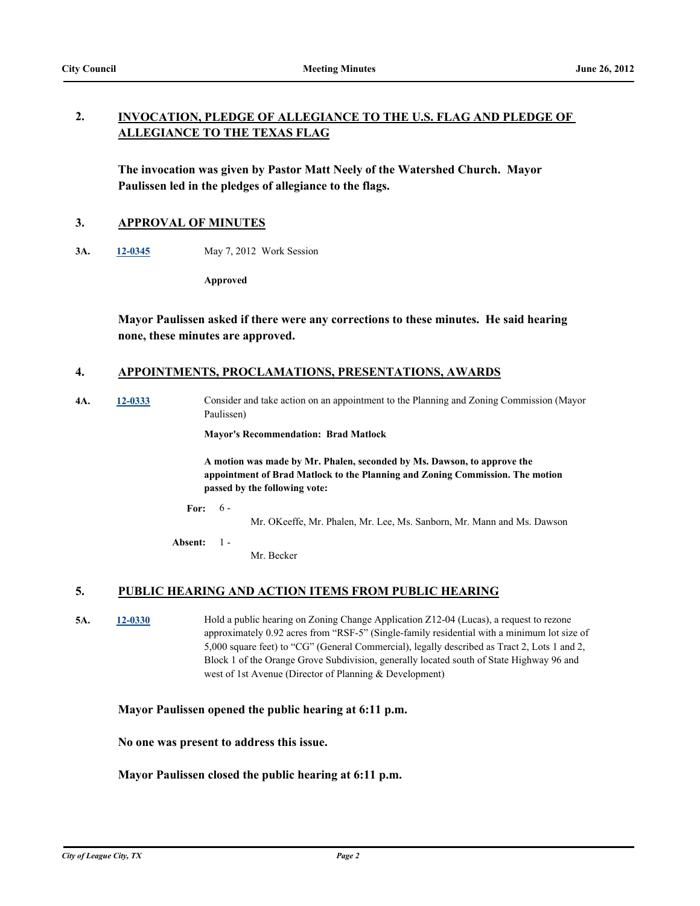#### **INVOCATION, PLEDGE OF ALLEGIANCE TO THE U.S. FLAG AND PLEDGE OF ALLEGIANCE TO THE TEXAS FLAG 2.**

**The invocation was given by Pastor Matt Neely of the Watershed Church. Mayor Paulissen led in the pledges of allegiance to the flags.**

#### **3. APPROVAL OF MINUTES**

**3A. [12-0345](http://leaguecity.legistar.com/gateway.aspx?m=l&id=3193)** May 7, 2012 Work Session

**Approved**

**Mayor Paulissen asked if there were any corrections to these minutes. He said hearing none, these minutes are approved.**

#### **4. APPOINTMENTS, PROCLAMATIONS, PRESENTATIONS, AWARDS**

**4A. [12-0333](http://leaguecity.legistar.com/gateway.aspx?m=l&id=3181)** Consider and take action on an appointment to the Planning and Zoning Commission (Mayor Paulissen)

**Mayor's Recommendation: Brad Matlock**

**A motion was made by Mr. Phalen, seconded by Ms. Dawson, to approve the appointment of Brad Matlock to the Planning and Zoning Commission. The motion passed by the following vote:**

**For:** 6 -

Mr. OKeeffe, Mr. Phalen, Mr. Lee, Ms. Sanborn, Mr. Mann and Ms. Dawson

**Absent:** 1 -

Mr. Becker

### **5. PUBLIC HEARING AND ACTION ITEMS FROM PUBLIC HEARING**

**5A. [12-0330](http://leaguecity.legistar.com/gateway.aspx?m=l&id=3178)** Hold a public hearing on Zoning Change Application Z12-04 (Lucas), a request to rezone approximately 0.92 acres from "RSF-5" (Single-family residential with a minimum lot size of 5,000 square feet) to "CG" (General Commercial), legally described as Tract 2, Lots 1 and 2, Block 1 of the Orange Grove Subdivision, generally located south of State Highway 96 and west of 1st Avenue (Director of Planning & Development)

#### **Mayor Paulissen opened the public hearing at 6:11 p.m.**

**No one was present to address this issue.**

#### **Mayor Paulissen closed the public hearing at 6:11 p.m.**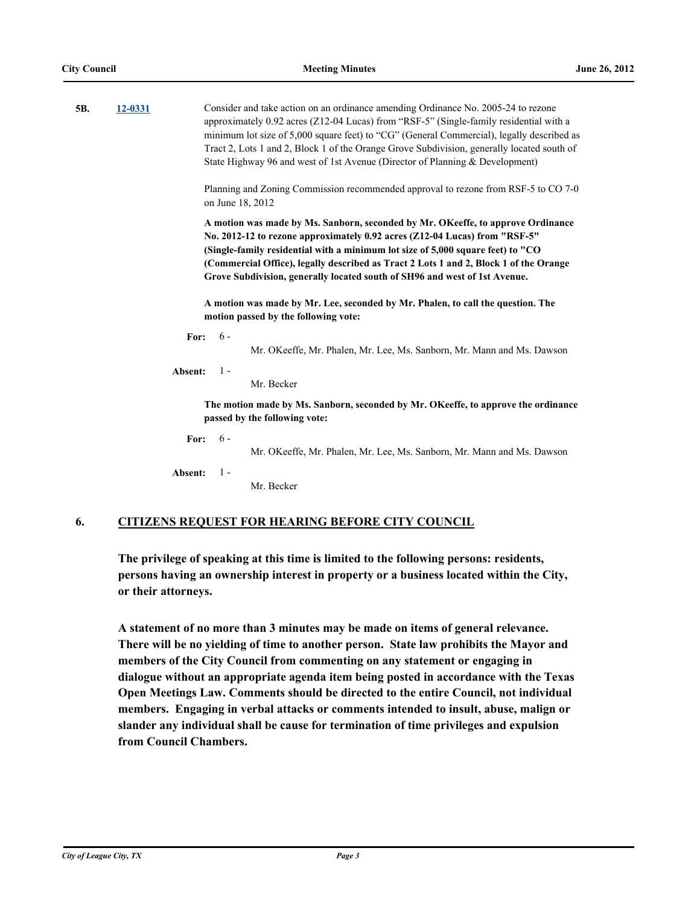| 5В. | 12-0331 |         |       | Consider and take action on an ordinance amending Ordinance No. 2005-24 to rezone<br>approximately 0.92 acres (Z12-04 Lucas) from "RSF-5" (Single-family residential with a<br>minimum lot size of 5,000 square feet) to "CG" (General Commercial), legally described as<br>Tract 2, Lots 1 and 2, Block 1 of the Orange Grove Subdivision, generally located south of<br>State Highway 96 and west of 1st Avenue (Director of Planning & Development) |
|-----|---------|---------|-------|--------------------------------------------------------------------------------------------------------------------------------------------------------------------------------------------------------------------------------------------------------------------------------------------------------------------------------------------------------------------------------------------------------------------------------------------------------|
|     |         |         |       | Planning and Zoning Commission recommended approval to rezone from RSF-5 to CO 7-0<br>on June 18, 2012                                                                                                                                                                                                                                                                                                                                                 |
|     |         |         |       | A motion was made by Ms. Sanborn, seconded by Mr. OKeeffe, to approve Ordinance<br>No. 2012-12 to rezone approximately 0.92 acres (Z12-04 Lucas) from "RSF-5"<br>(Single-family residential with a minimum lot size of 5,000 square feet) to "CO<br>(Commercial Office), legally described as Tract 2 Lots 1 and 2, Block 1 of the Orange<br>Grove Subdivision, generally located south of SH96 and west of 1st Avenue.                                |
|     |         |         |       | A motion was made by Mr. Lee, seconded by Mr. Phalen, to call the question. The<br>motion passed by the following vote:                                                                                                                                                                                                                                                                                                                                |
|     |         | For:    | $6 -$ | Mr. OKeeffe, Mr. Phalen, Mr. Lee, Ms. Sanborn, Mr. Mann and Ms. Dawson                                                                                                                                                                                                                                                                                                                                                                                 |
|     |         | Absent: | $1 -$ | Mr. Becker                                                                                                                                                                                                                                                                                                                                                                                                                                             |
|     |         |         |       | The motion made by Ms. Sanborn, seconded by Mr. OKeeffe, to approve the ordinance<br>passed by the following vote:                                                                                                                                                                                                                                                                                                                                     |
|     |         | For:    | $6 -$ | Mr. OKeeffe, Mr. Phalen, Mr. Lee, Ms. Sanborn, Mr. Mann and Ms. Dawson                                                                                                                                                                                                                                                                                                                                                                                 |
|     |         | Absent: | $1 -$ | Mr. Becker                                                                                                                                                                                                                                                                                                                                                                                                                                             |
|     |         |         |       |                                                                                                                                                                                                                                                                                                                                                                                                                                                        |

### **6. CITIZENS REQUEST FOR HEARING BEFORE CITY COUNCIL**

**The privilege of speaking at this time is limited to the following persons: residents, persons having an ownership interest in property or a business located within the City, or their attorneys.**

**A statement of no more than 3 minutes may be made on items of general relevance. There will be no yielding of time to another person. State law prohibits the Mayor and members of the City Council from commenting on any statement or engaging in dialogue without an appropriate agenda item being posted in accordance with the Texas Open Meetings Law. Comments should be directed to the entire Council, not individual members. Engaging in verbal attacks or comments intended to insult, abuse, malign or slander any individual shall be cause for termination of time privileges and expulsion from Council Chambers.**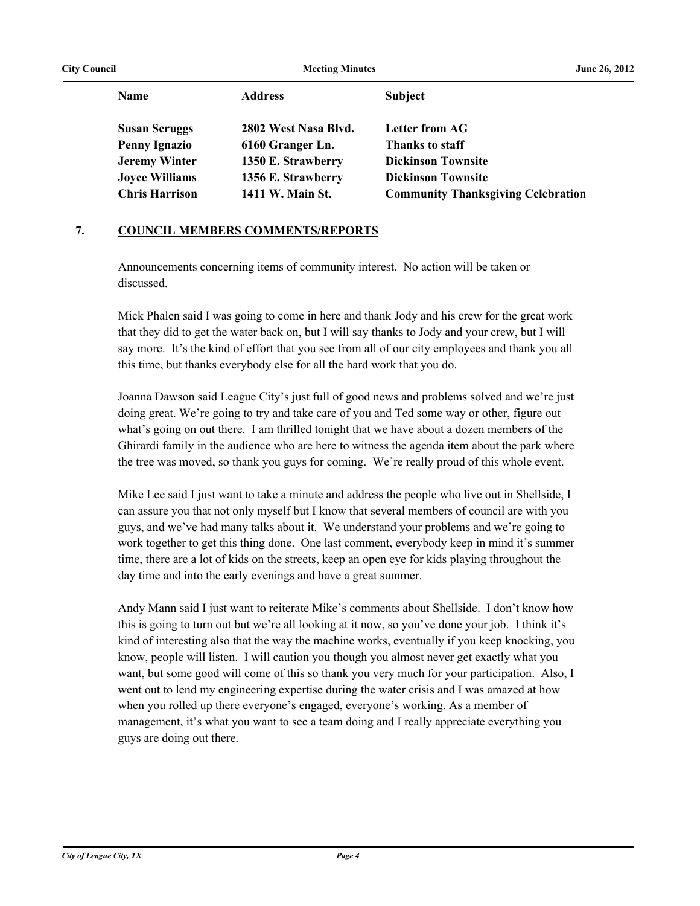| <b>City Council</b> |                       | <b>Meeting Minutes</b> |                                           | June 26, 2012 |
|---------------------|-----------------------|------------------------|-------------------------------------------|---------------|
|                     | <b>Name</b>           | <b>Address</b>         | <b>Subject</b>                            |               |
|                     | <b>Susan Scruggs</b>  | 2802 West Nasa Blvd.   | <b>Letter from AG</b>                     |               |
|                     | <b>Penny Ignazio</b>  | 6160 Granger Ln.       | Thanks to staff                           |               |
|                     | <b>Jeremy Winter</b>  | 1350 E. Strawberry     | <b>Dickinson Townsite</b>                 |               |
|                     | <b>Joyce Williams</b> | 1356 E. Strawberry     | <b>Dickinson Townsite</b>                 |               |
|                     | <b>Chris Harrison</b> | 1411 W. Main St.       | <b>Community Thanksgiving Celebration</b> |               |
|                     |                       |                        |                                           |               |

## **7. COUNCIL MEMBERS COMMENTS/REPORTS**

Announcements concerning items of community interest. No action will be taken or discussed.

Mick Phalen said I was going to come in here and thank Jody and his crew for the great work that they did to get the water back on, but I will say thanks to Jody and your crew, but I will say more. It's the kind of effort that you see from all of our city employees and thank you all this time, but thanks everybody else for all the hard work that you do.

Joanna Dawson said League City's just full of good news and problems solved and we're just doing great. We're going to try and take care of you and Ted some way or other, figure out what's going on out there. I am thrilled tonight that we have about a dozen members of the Ghirardi family in the audience who are here to witness the agenda item about the park where the tree was moved, so thank you guys for coming. We're really proud of this whole event.

Mike Lee said I just want to take a minute and address the people who live out in Shellside, I can assure you that not only myself but I know that several members of council are with you guys, and we've had many talks about it. We understand your problems and we're going to work together to get this thing done. One last comment, everybody keep in mind it's summer time, there are a lot of kids on the streets, keep an open eye for kids playing throughout the day time and into the early evenings and have a great summer.

Andy Mann said I just want to reiterate Mike's comments about Shellside. I don't know how this is going to turn out but we're all looking at it now, so you've done your job. I think it's kind of interesting also that the way the machine works, eventually if you keep knocking, you know, people will listen. I will caution you though you almost never get exactly what you want, but some good will come of this so thank you very much for your participation. Also, I went out to lend my engineering expertise during the water crisis and I was amazed at how when you rolled up there everyone's engaged, everyone's working. As a member of management, it's what you want to see a team doing and I really appreciate everything you guys are doing out there.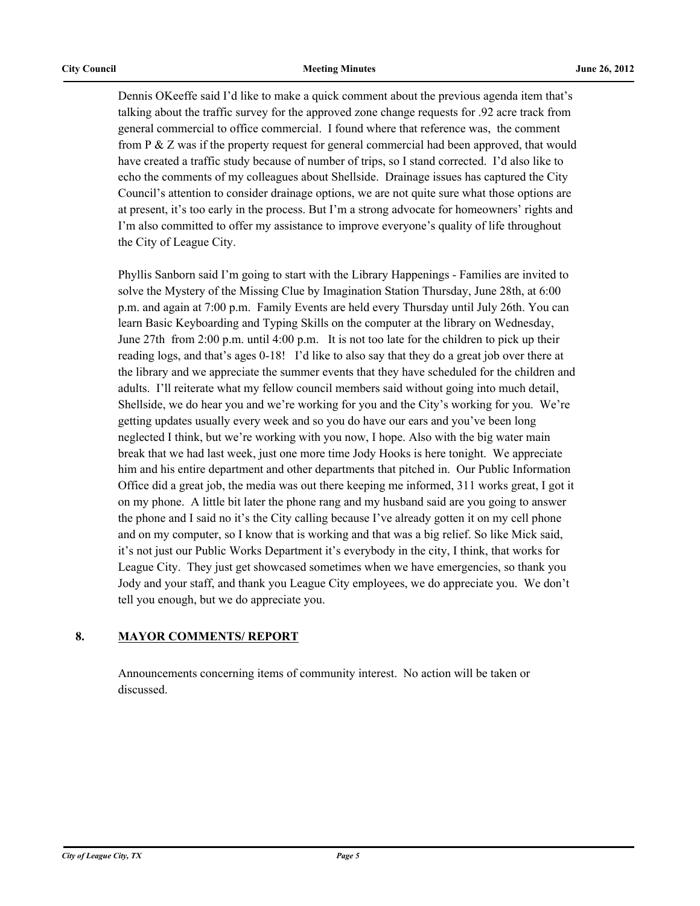Dennis OKeeffe said I'd like to make a quick comment about the previous agenda item that's talking about the traffic survey for the approved zone change requests for .92 acre track from general commercial to office commercial. I found where that reference was, the comment from P & Z was if the property request for general commercial had been approved, that would have created a traffic study because of number of trips, so I stand corrected. I'd also like to echo the comments of my colleagues about Shellside. Drainage issues has captured the City Council's attention to consider drainage options, we are not quite sure what those options are at present, it's too early in the process. But I'm a strong advocate for homeowners' rights and I'm also committed to offer my assistance to improve everyone's quality of life throughout the City of League City.

Phyllis Sanborn said I'm going to start with the Library Happenings - Families are invited to solve the Mystery of the Missing Clue by Imagination Station Thursday, June 28th, at 6:00 p.m. and again at 7:00 p.m. Family Events are held every Thursday until July 26th. You can learn Basic Keyboarding and Typing Skills on the computer at the library on Wednesday, June 27th from 2:00 p.m. until 4:00 p.m. It is not too late for the children to pick up their reading logs, and that's ages 0-18! I'd like to also say that they do a great job over there at the library and we appreciate the summer events that they have scheduled for the children and adults. I'll reiterate what my fellow council members said without going into much detail, Shellside, we do hear you and we're working for you and the City's working for you. We're getting updates usually every week and so you do have our ears and you've been long neglected I think, but we're working with you now, I hope. Also with the big water main break that we had last week, just one more time Jody Hooks is here tonight. We appreciate him and his entire department and other departments that pitched in. Our Public Information Office did a great job, the media was out there keeping me informed, 311 works great, I got it on my phone. A little bit later the phone rang and my husband said are you going to answer the phone and I said no it's the City calling because I've already gotten it on my cell phone and on my computer, so I know that is working and that was a big relief. So like Mick said, it's not just our Public Works Department it's everybody in the city, I think, that works for League City. They just get showcased sometimes when we have emergencies, so thank you Jody and your staff, and thank you League City employees, we do appreciate you. We don't tell you enough, but we do appreciate you.

### **8. MAYOR COMMENTS/ REPORT**

Announcements concerning items of community interest. No action will be taken or discussed.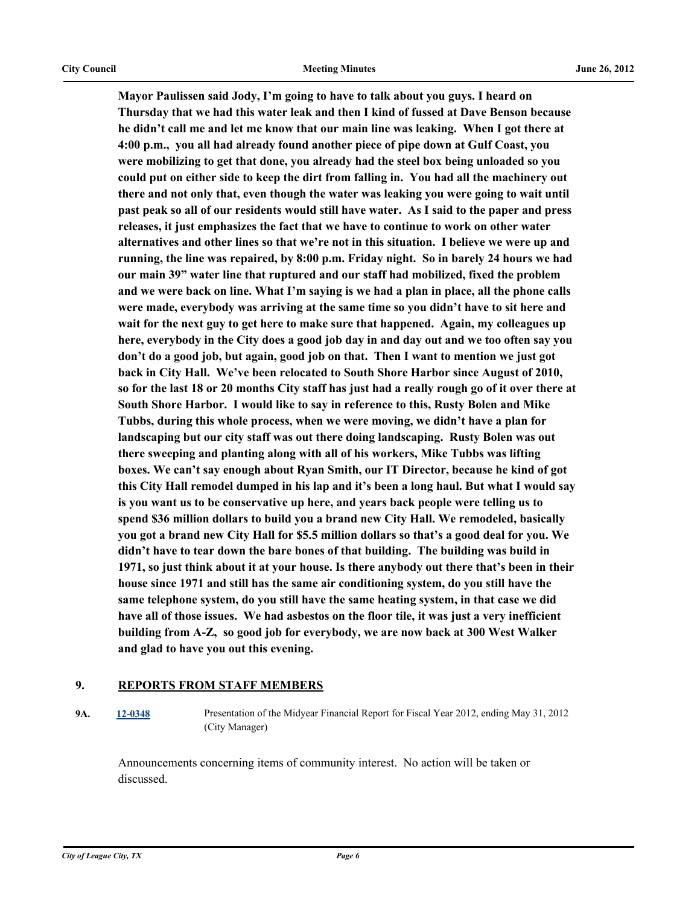**Mayor Paulissen said Jody, I'm going to have to talk about you guys. I heard on Thursday that we had this water leak and then I kind of fussed at Dave Benson because he didn't call me and let me know that our main line was leaking. When I got there at 4:00 p.m., you all had already found another piece of pipe down at Gulf Coast, you were mobilizing to get that done, you already had the steel box being unloaded so you could put on either side to keep the dirt from falling in. You had all the machinery out there and not only that, even though the water was leaking you were going to wait until past peak so all of our residents would still have water. As I said to the paper and press releases, it just emphasizes the fact that we have to continue to work on other water alternatives and other lines so that we're not in this situation. I believe we were up and running, the line was repaired, by 8:00 p.m. Friday night. So in barely 24 hours we had our main 39" water line that ruptured and our staff had mobilized, fixed the problem and we were back on line. What I'm saying is we had a plan in place, all the phone calls were made, everybody was arriving at the same time so you didn't have to sit here and wait for the next guy to get here to make sure that happened. Again, my colleagues up here, everybody in the City does a good job day in and day out and we too often say you don't do a good job, but again, good job on that. Then I want to mention we just got back in City Hall. We've been relocated to South Shore Harbor since August of 2010, so for the last 18 or 20 months City staff has just had a really rough go of it over there at South Shore Harbor. I would like to say in reference to this, Rusty Bolen and Mike Tubbs, during this whole process, when we were moving, we didn't have a plan for landscaping but our city staff was out there doing landscaping. Rusty Bolen was out there sweeping and planting along with all of his workers, Mike Tubbs was lifting boxes. We can't say enough about Ryan Smith, our IT Director, because he kind of got this City Hall remodel dumped in his lap and it's been a long haul. But what I would say is you want us to be conservative up here, and years back people were telling us to spend \$36 million dollars to build you a brand new City Hall. We remodeled, basically you got a brand new City Hall for \$5.5 million dollars so that's a good deal for you. We didn't have to tear down the bare bones of that building. The building was build in 1971, so just think about it at your house. Is there anybody out there that's been in their house since 1971 and still has the same air conditioning system, do you still have the same telephone system, do you still have the same heating system, in that case we did have all of those issues. We had asbestos on the floor tile, it was just a very inefficient building from A-Z, so good job for everybody, we are now back at 300 West Walker and glad to have you out this evening.**

#### **9. REPORTS FROM STAFF MEMBERS**

**9A. [12-0348](http://leaguecity.legistar.com/gateway.aspx?m=l&id=3196)** Presentation of the Midyear Financial Report for Fiscal Year 2012, ending May 31, 2012 (City Manager)

Announcements concerning items of community interest. No action will be taken or discussed.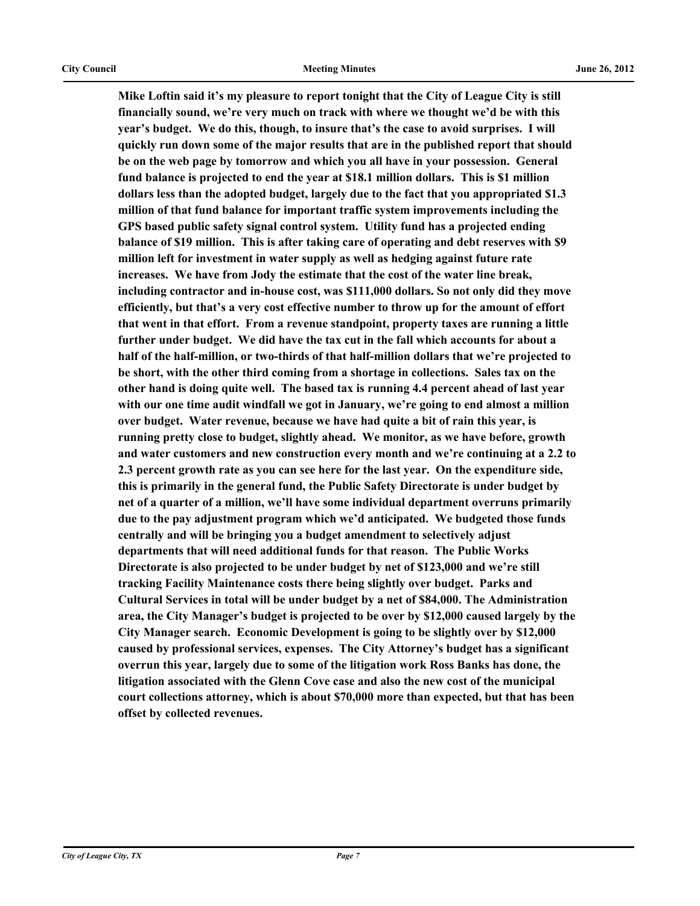**Mike Loftin said it's my pleasure to report tonight that the City of League City is still financially sound, we're very much on track with where we thought we'd be with this year's budget. We do this, though, to insure that's the case to avoid surprises. I will quickly run down some of the major results that are in the published report that should be on the web page by tomorrow and which you all have in your possession. General fund balance is projected to end the year at \$18.1 million dollars. This is \$1 million dollars less than the adopted budget, largely due to the fact that you appropriated \$1.3 million of that fund balance for important traffic system improvements including the GPS based public safety signal control system. Utility fund has a projected ending balance of \$19 million. This is after taking care of operating and debt reserves with \$9 million left for investment in water supply as well as hedging against future rate increases. We have from Jody the estimate that the cost of the water line break, including contractor and in-house cost, was \$111,000 dollars. So not only did they move efficiently, but that's a very cost effective number to throw up for the amount of effort that went in that effort. From a revenue standpoint, property taxes are running a little further under budget. We did have the tax cut in the fall which accounts for about a half of the half-million, or two-thirds of that half-million dollars that we're projected to be short, with the other third coming from a shortage in collections. Sales tax on the other hand is doing quite well. The based tax is running 4.4 percent ahead of last year with our one time audit windfall we got in January, we're going to end almost a million over budget. Water revenue, because we have had quite a bit of rain this year, is running pretty close to budget, slightly ahead. We monitor, as we have before, growth and water customers and new construction every month and we're continuing at a 2.2 to 2.3 percent growth rate as you can see here for the last year. On the expenditure side, this is primarily in the general fund, the Public Safety Directorate is under budget by net of a quarter of a million, we'll have some individual department overruns primarily due to the pay adjustment program which we'd anticipated. We budgeted those funds centrally and will be bringing you a budget amendment to selectively adjust departments that will need additional funds for that reason. The Public Works Directorate is also projected to be under budget by net of \$123,000 and we're still tracking Facility Maintenance costs there being slightly over budget. Parks and Cultural Services in total will be under budget by a net of \$84,000. The Administration area, the City Manager's budget is projected to be over by \$12,000 caused largely by the City Manager search. Economic Development is going to be slightly over by \$12,000 caused by professional services, expenses. The City Attorney's budget has a significant overrun this year, largely due to some of the litigation work Ross Banks has done, the litigation associated with the Glenn Cove case and also the new cost of the municipal court collections attorney, which is about \$70,000 more than expected, but that has been offset by collected revenues.**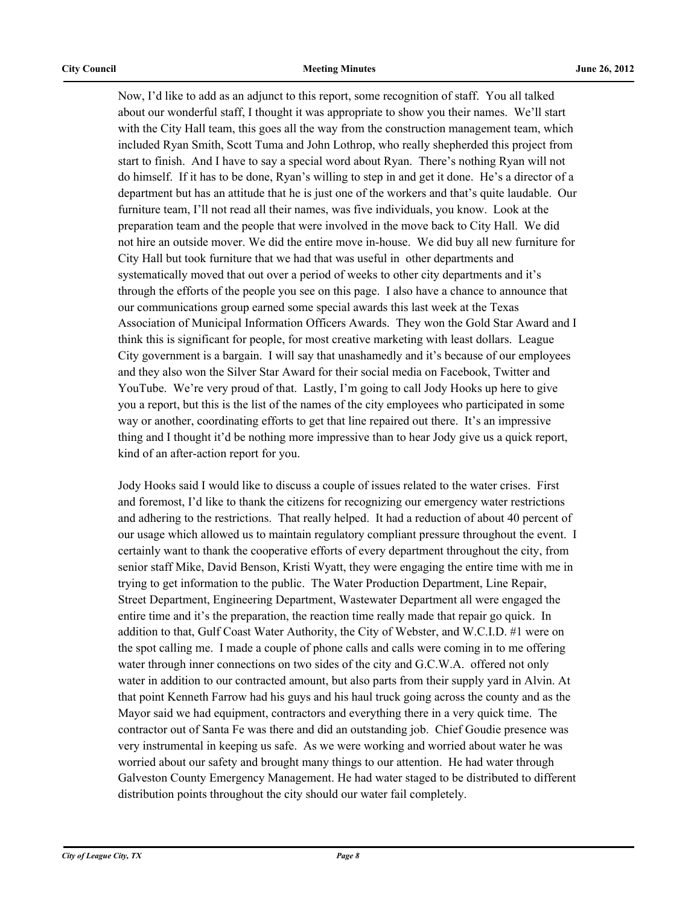Now, I'd like to add as an adjunct to this report, some recognition of staff. You all talked about our wonderful staff, I thought it was appropriate to show you their names. We'll start with the City Hall team, this goes all the way from the construction management team, which included Ryan Smith, Scott Tuma and John Lothrop, who really shepherded this project from start to finish. And I have to say a special word about Ryan. There's nothing Ryan will not do himself. If it has to be done, Ryan's willing to step in and get it done. He's a director of a department but has an attitude that he is just one of the workers and that's quite laudable. Our furniture team, I'll not read all their names, was five individuals, you know. Look at the preparation team and the people that were involved in the move back to City Hall. We did not hire an outside mover. We did the entire move in-house. We did buy all new furniture for City Hall but took furniture that we had that was useful in other departments and systematically moved that out over a period of weeks to other city departments and it's through the efforts of the people you see on this page. I also have a chance to announce that our communications group earned some special awards this last week at the Texas Association of Municipal Information Officers Awards. They won the Gold Star Award and I think this is significant for people, for most creative marketing with least dollars. League City government is a bargain. I will say that unashamedly and it's because of our employees and they also won the Silver Star Award for their social media on Facebook, Twitter and YouTube. We're very proud of that. Lastly, I'm going to call Jody Hooks up here to give you a report, but this is the list of the names of the city employees who participated in some way or another, coordinating efforts to get that line repaired out there. It's an impressive thing and I thought it'd be nothing more impressive than to hear Jody give us a quick report, kind of an after-action report for you.

Jody Hooks said I would like to discuss a couple of issues related to the water crises. First and foremost, I'd like to thank the citizens for recognizing our emergency water restrictions and adhering to the restrictions. That really helped. It had a reduction of about 40 percent of our usage which allowed us to maintain regulatory compliant pressure throughout the event. I certainly want to thank the cooperative efforts of every department throughout the city, from senior staff Mike, David Benson, Kristi Wyatt, they were engaging the entire time with me in trying to get information to the public. The Water Production Department, Line Repair, Street Department, Engineering Department, Wastewater Department all were engaged the entire time and it's the preparation, the reaction time really made that repair go quick. In addition to that, Gulf Coast Water Authority, the City of Webster, and W.C.I.D. #1 were on the spot calling me. I made a couple of phone calls and calls were coming in to me offering water through inner connections on two sides of the city and G.C.W.A. offered not only water in addition to our contracted amount, but also parts from their supply yard in Alvin. At that point Kenneth Farrow had his guys and his haul truck going across the county and as the Mayor said we had equipment, contractors and everything there in a very quick time. The contractor out of Santa Fe was there and did an outstanding job. Chief Goudie presence was very instrumental in keeping us safe. As we were working and worried about water he was worried about our safety and brought many things to our attention. He had water through Galveston County Emergency Management. He had water staged to be distributed to different distribution points throughout the city should our water fail completely.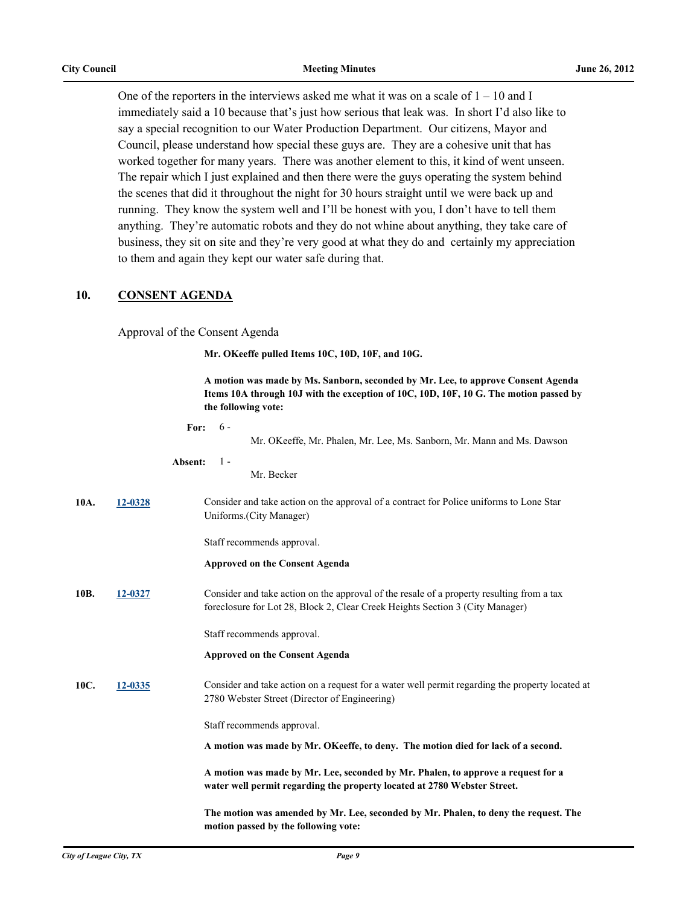One of the reporters in the interviews asked me what it was on a scale of  $1 - 10$  and I immediately said a 10 because that's just how serious that leak was. In short I'd also like to say a special recognition to our Water Production Department. Our citizens, Mayor and Council, please understand how special these guys are. They are a cohesive unit that has worked together for many years. There was another element to this, it kind of went unseen. The repair which I just explained and then there were the guys operating the system behind the scenes that did it throughout the night for 30 hours straight until we were back up and running. They know the system well and I'll be honest with you, I don't have to tell them anything. They're automatic robots and they do not whine about anything, they take care of business, they sit on site and they're very good at what they do and certainly my appreciation to them and again they kept our water safe during that.

#### **10. CONSENT AGENDA**

Approval of the Consent Agenda

**Mr. OKeeffe pulled Items 10C, 10D, 10F, and 10G.**

**A motion was made by Ms. Sanborn, seconded by Mr. Lee, to approve Consent Agenda Items 10A through 10J with the exception of 10C, 10D, 10F, 10 G. The motion passed by the following vote:**

|      |         | $6 -$<br>For:<br>Mr. OKeeffe, Mr. Phalen, Mr. Lee, Ms. Sanborn, Mr. Mann and Ms. Dawson                                                                                    |
|------|---------|----------------------------------------------------------------------------------------------------------------------------------------------------------------------------|
|      |         | $1 -$<br>Absent:<br>Mr. Becker                                                                                                                                             |
| 10A. | 12-0328 | Consider and take action on the approval of a contract for Police uniforms to Lone Star<br>Uniforms.(City Manager)                                                         |
|      |         | Staff recommends approval.                                                                                                                                                 |
|      |         | <b>Approved on the Consent Agenda</b>                                                                                                                                      |
| 10B. | 12-0327 | Consider and take action on the approval of the resale of a property resulting from a tax<br>foreclosure for Lot 28, Block 2, Clear Creek Heights Section 3 (City Manager) |
|      |         | Staff recommends approval.                                                                                                                                                 |
|      |         | <b>Approved on the Consent Agenda</b>                                                                                                                                      |
| 10C. | 12-0335 | Consider and take action on a request for a water well permit regarding the property located at<br>2780 Webster Street (Director of Engineering)                           |
|      |         | Staff recommends approval.                                                                                                                                                 |
|      |         | A motion was made by Mr. OKeeffe, to deny. The motion died for lack of a second.                                                                                           |
|      |         | A motion was made by Mr. Lee, seconded by Mr. Phalen, to approve a request for a<br>water well permit regarding the property located at 2780 Webster Street.               |
|      |         | The motion was amended by Mr. Lee, seconded by Mr. Phalen, to deny the request. The<br>motion passed by the following vote:                                                |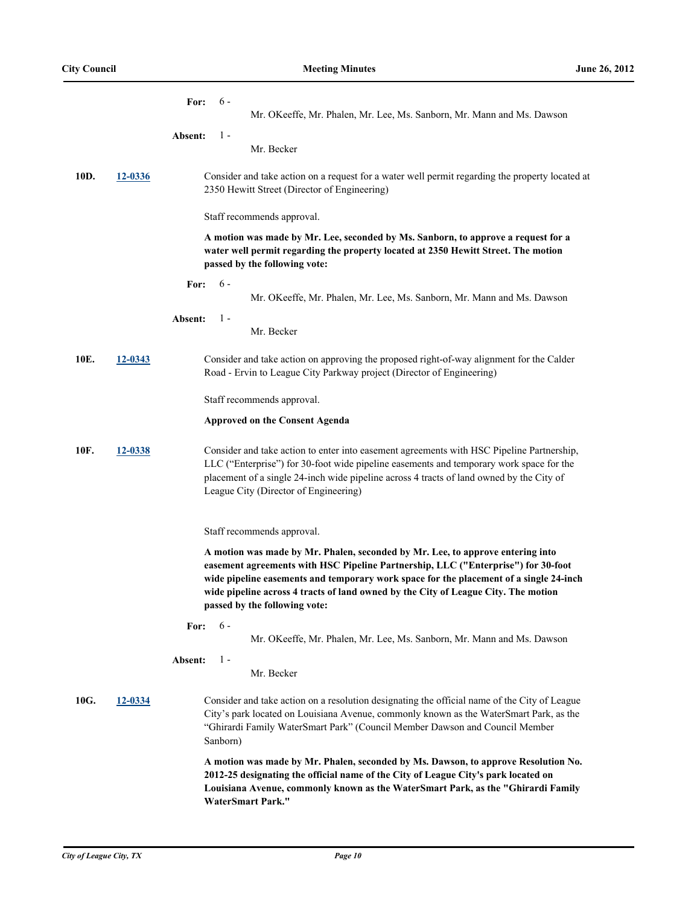|      |         | For:<br>$6 -$<br>Mr. OKeeffe, Mr. Phalen, Mr. Lee, Ms. Sanborn, Mr. Mann and Ms. Dawson                                                                                                                                                                                                                                                                                              |
|------|---------|--------------------------------------------------------------------------------------------------------------------------------------------------------------------------------------------------------------------------------------------------------------------------------------------------------------------------------------------------------------------------------------|
|      |         |                                                                                                                                                                                                                                                                                                                                                                                      |
|      |         | $1 -$<br>Absent:<br>Mr. Becker                                                                                                                                                                                                                                                                                                                                                       |
| 10D. | 12-0336 | Consider and take action on a request for a water well permit regarding the property located at<br>2350 Hewitt Street (Director of Engineering)                                                                                                                                                                                                                                      |
|      |         | Staff recommends approval.                                                                                                                                                                                                                                                                                                                                                           |
|      |         | A motion was made by Mr. Lee, seconded by Ms. Sanborn, to approve a request for a<br>water well permit regarding the property located at 2350 Hewitt Street. The motion<br>passed by the following vote:                                                                                                                                                                             |
|      |         | $6 -$<br>For:<br>Mr. OKeeffe, Mr. Phalen, Mr. Lee, Ms. Sanborn, Mr. Mann and Ms. Dawson                                                                                                                                                                                                                                                                                              |
|      |         | $1 -$<br>Absent:<br>Mr. Becker                                                                                                                                                                                                                                                                                                                                                       |
| 10E. | 12-0343 | Consider and take action on approving the proposed right-of-way alignment for the Calder<br>Road - Ervin to League City Parkway project (Director of Engineering)                                                                                                                                                                                                                    |
|      |         | Staff recommends approval.                                                                                                                                                                                                                                                                                                                                                           |
|      |         | <b>Approved on the Consent Agenda</b>                                                                                                                                                                                                                                                                                                                                                |
| 10F. | 12-0338 | Consider and take action to enter into easement agreements with HSC Pipeline Partnership,<br>LLC ("Enterprise") for 30-foot wide pipeline easements and temporary work space for the<br>placement of a single 24-inch wide pipeline across 4 tracts of land owned by the City of<br>League City (Director of Engineering)                                                            |
|      |         | Staff recommends approval.                                                                                                                                                                                                                                                                                                                                                           |
|      |         | A motion was made by Mr. Phalen, seconded by Mr. Lee, to approve entering into<br>easement agreements with HSC Pipeline Partnership, LLC ("Enterprise") for 30-foot<br>wide pipeline easements and temporary work space for the placement of a single 24-inch<br>wide pipeline across 4 tracts of land owned by the City of League City. The motion<br>passed by the following vote: |
|      |         | $6 -$<br>For:<br>Mr. OKeeffe, Mr. Phalen, Mr. Lee, Ms. Sanborn, Mr. Mann and Ms. Dawson                                                                                                                                                                                                                                                                                              |
|      |         | $1 -$<br>Absent:<br>Mr. Becker                                                                                                                                                                                                                                                                                                                                                       |
| 10G. | 12-0334 | Consider and take action on a resolution designating the official name of the City of League<br>City's park located on Louisiana Avenue, commonly known as the WaterSmart Park, as the<br>"Ghirardi Family WaterSmart Park" (Council Member Dawson and Council Member<br>Sanborn)                                                                                                    |
|      |         | A motion was made by Mr. Phalen, seconded by Ms. Dawson, to approve Resolution No.<br>2012-25 designating the official name of the City of League City's park located on<br>Louisiana Avenue, commonly known as the WaterSmart Park, as the "Ghirardi Family<br><b>WaterSmart Park."</b>                                                                                             |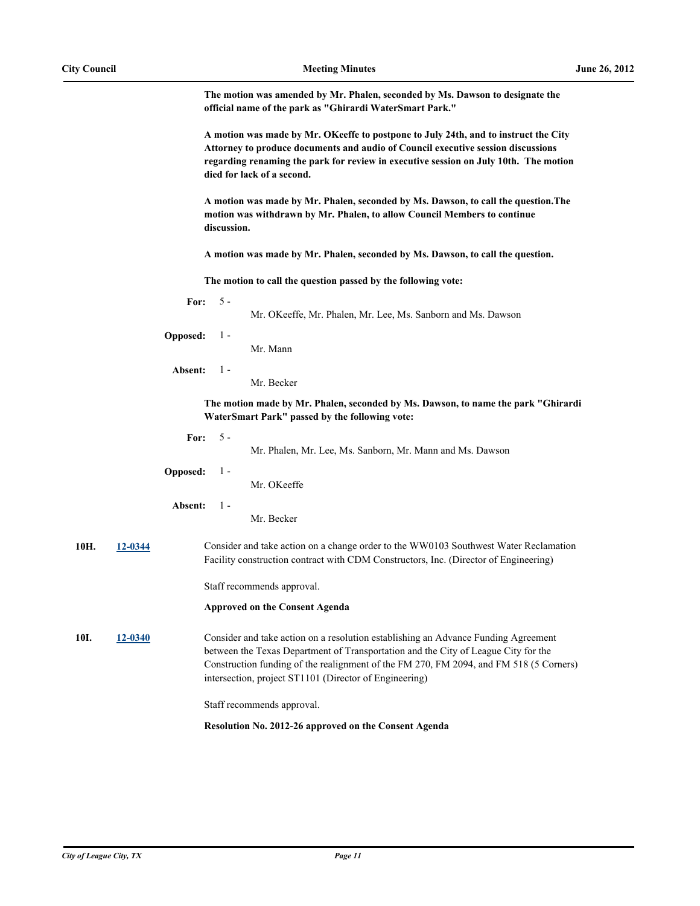**The motion was amended by Mr. Phalen, seconded by Ms. Dawson to designate the official name of the park as "Ghirardi WaterSmart Park."** 

|      |         | A motion was made by Mr. OKeeffe to postpone to July 24th, and to instruct the City<br>Attorney to produce documents and audio of Council executive session discussions<br>regarding renaming the park for review in executive session on July 10th. The motion<br>died for lack of a second. |             |                                                                                                                                                                                                                                                                                                                              |
|------|---------|-----------------------------------------------------------------------------------------------------------------------------------------------------------------------------------------------------------------------------------------------------------------------------------------------|-------------|------------------------------------------------------------------------------------------------------------------------------------------------------------------------------------------------------------------------------------------------------------------------------------------------------------------------------|
|      |         |                                                                                                                                                                                                                                                                                               | discussion. | A motion was made by Mr. Phalen, seconded by Ms. Dawson, to call the question. The<br>motion was withdrawn by Mr. Phalen, to allow Council Members to continue                                                                                                                                                               |
|      |         |                                                                                                                                                                                                                                                                                               |             | A motion was made by Mr. Phalen, seconded by Ms. Dawson, to call the question.                                                                                                                                                                                                                                               |
|      |         |                                                                                                                                                                                                                                                                                               |             | The motion to call the question passed by the following vote:                                                                                                                                                                                                                                                                |
|      |         | For:                                                                                                                                                                                                                                                                                          | $5 -$       | Mr. OKeeffe, Mr. Phalen, Mr. Lee, Ms. Sanborn and Ms. Dawson                                                                                                                                                                                                                                                                 |
|      |         | <b>Opposed:</b>                                                                                                                                                                                                                                                                               | $1 -$       | Mr. Mann                                                                                                                                                                                                                                                                                                                     |
|      |         | Absent:                                                                                                                                                                                                                                                                                       | $1 -$       | Mr. Becker                                                                                                                                                                                                                                                                                                                   |
|      |         |                                                                                                                                                                                                                                                                                               |             | The motion made by Mr. Phalen, seconded by Ms. Dawson, to name the park "Ghirardi"<br>WaterSmart Park" passed by the following vote:                                                                                                                                                                                         |
|      |         | For:                                                                                                                                                                                                                                                                                          | $5 -$       | Mr. Phalen, Mr. Lee, Ms. Sanborn, Mr. Mann and Ms. Dawson                                                                                                                                                                                                                                                                    |
|      |         | Opposed:                                                                                                                                                                                                                                                                                      | $1 -$       | Mr. OKeeffe                                                                                                                                                                                                                                                                                                                  |
|      |         | Absent:                                                                                                                                                                                                                                                                                       | $1 -$       | Mr. Becker                                                                                                                                                                                                                                                                                                                   |
| 10H. | 12-0344 |                                                                                                                                                                                                                                                                                               |             | Consider and take action on a change order to the WW0103 Southwest Water Reclamation<br>Facility construction contract with CDM Constructors, Inc. (Director of Engineering)                                                                                                                                                 |
|      |         |                                                                                                                                                                                                                                                                                               |             | Staff recommends approval.                                                                                                                                                                                                                                                                                                   |
|      |         |                                                                                                                                                                                                                                                                                               |             | <b>Approved on the Consent Agenda</b>                                                                                                                                                                                                                                                                                        |
| 10I. | 12-0340 |                                                                                                                                                                                                                                                                                               |             | Consider and take action on a resolution establishing an Advance Funding Agreement<br>between the Texas Department of Transportation and the City of League City for the<br>Construction funding of the realignment of the FM 270, FM 2094, and FM 518 (5 Corners)<br>intersection, project ST1101 (Director of Engineering) |
|      |         |                                                                                                                                                                                                                                                                                               |             | Staff recommends approval.                                                                                                                                                                                                                                                                                                   |
|      |         |                                                                                                                                                                                                                                                                                               |             | Resolution No. 2012-26 approved on the Consent Agenda                                                                                                                                                                                                                                                                        |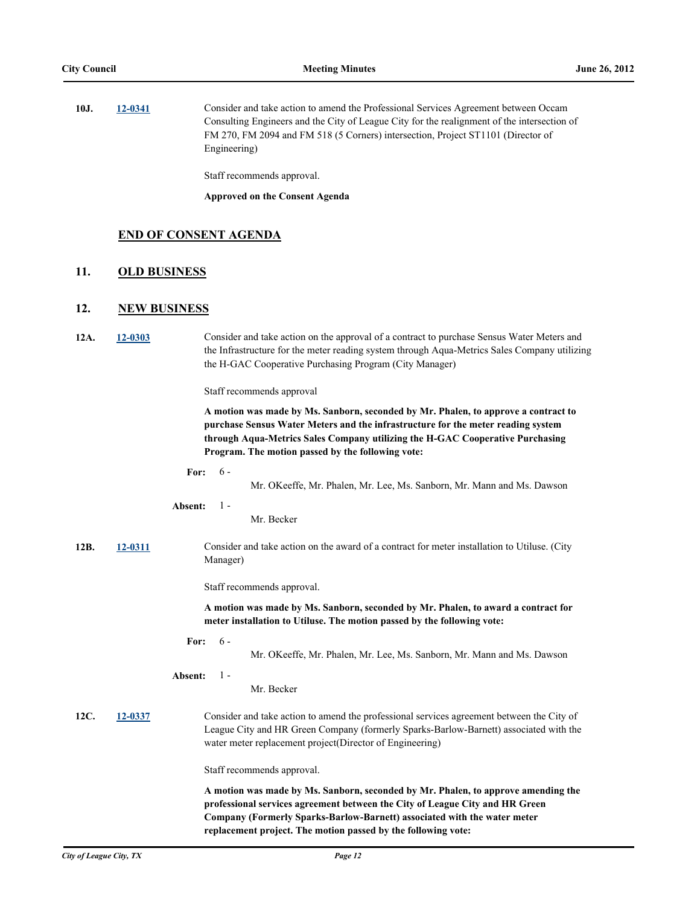| 10J. | 12-0341 | Consider and take action to amend the Professional Services Agreement between Occam         |
|------|---------|---------------------------------------------------------------------------------------------|
|      |         | Consulting Engineers and the City of League City for the realignment of the intersection of |
|      |         | FM 270, FM 2094 and FM 518 (5 Corners) intersection, Project ST1101 (Director of            |
|      |         | Engineering)                                                                                |

Staff recommends approval.

**Approved on the Consent Agenda**

#### **END OF CONSENT AGENDA**

#### **11. OLD BUSINESS**

#### **12. NEW BUSINESS**

**12A. [12-0303](http://leaguecity.legistar.com/gateway.aspx?m=l&id=3151)** Consider and take action on the approval of a contract to purchase Sensus Water Meters and the Infrastructure for the meter reading system through Aqua-Metrics Sales Company utilizing the H-GAC Cooperative Purchasing Program (City Manager)

Staff recommends approval

**A motion was made by Ms. Sanborn, seconded by Mr. Phalen, to approve a contract to purchase Sensus Water Meters and the infrastructure for the meter reading system through Aqua-Metrics Sales Company utilizing the H-GAC Cooperative Purchasing Program. The motion passed by the following vote:**

**For:** 6 -

Mr. OKeeffe, Mr. Phalen, Mr. Lee, Ms. Sanborn, Mr. Mann and Ms. Dawson

#### **Absent:** 1 -

Mr. Becker

**12B. [12-0311](http://leaguecity.legistar.com/gateway.aspx?m=l&id=3159)** Consider and take action on the award of a contract for meter installation to Utiluse. (City Manager)

Staff recommends approval.

**A motion was made by Ms. Sanborn, seconded by Mr. Phalen, to award a contract for meter installation to Utiluse. The motion passed by the following vote:**

**For:** 6 -

Mr. OKeeffe, Mr. Phalen, Mr. Lee, Ms. Sanborn, Mr. Mann and Ms. Dawson

**Absent:** 1 -

#### Mr. Becker

**12C. [12-0337](http://leaguecity.legistar.com/gateway.aspx?m=l&id=3185)** Consider and take action to amend the professional services agreement between the City of League City and HR Green Company (formerly Sparks-Barlow-Barnett) associated with the water meter replacement project(Director of Engineering)

Staff recommends approval.

**A motion was made by Ms. Sanborn, seconded by Mr. Phalen, to approve amending the professional services agreement between the City of League City and HR Green Company (Formerly Sparks-Barlow-Barnett) associated with the water meter replacement project. The motion passed by the following vote:**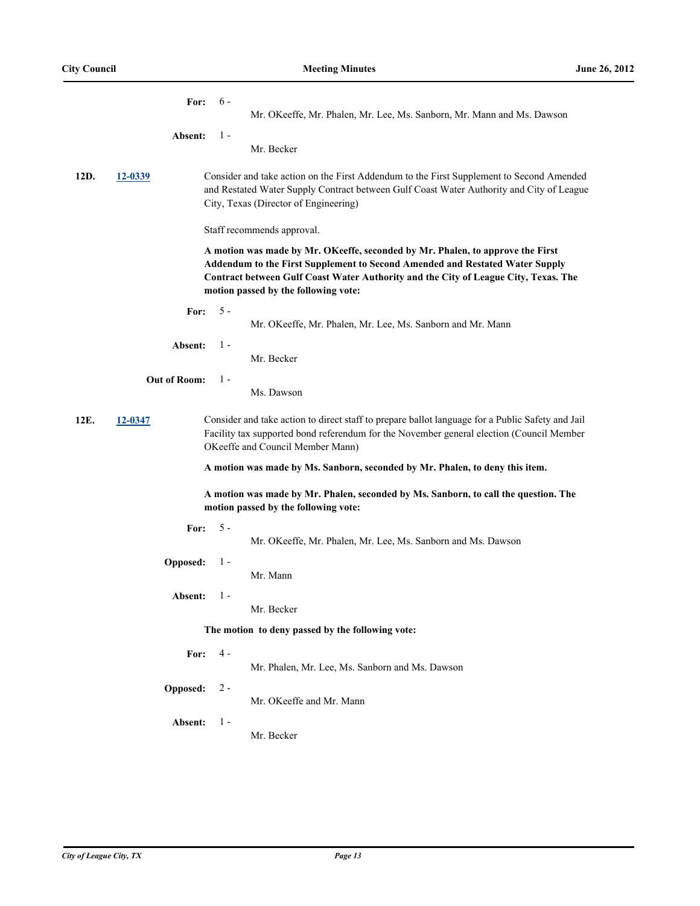|      | For:                                                                                                                        | $6 -$<br>Mr. OKeeffe, Mr. Phalen, Mr. Lee, Ms. Sanborn, Mr. Mann and Ms. Dawson                                                                                                                                                                                                               |  |  |
|------|-----------------------------------------------------------------------------------------------------------------------------|-----------------------------------------------------------------------------------------------------------------------------------------------------------------------------------------------------------------------------------------------------------------------------------------------|--|--|
|      | Absent:                                                                                                                     | $1 -$                                                                                                                                                                                                                                                                                         |  |  |
|      |                                                                                                                             | Mr. Becker                                                                                                                                                                                                                                                                                    |  |  |
| 12D. | 12-0339                                                                                                                     | Consider and take action on the First Addendum to the First Supplement to Second Amended<br>and Restated Water Supply Contract between Gulf Coast Water Authority and City of League<br>City, Texas (Director of Engineering)                                                                 |  |  |
|      |                                                                                                                             | Staff recommends approval.                                                                                                                                                                                                                                                                    |  |  |
|      |                                                                                                                             | A motion was made by Mr. OKeeffe, seconded by Mr. Phalen, to approve the First<br>Addendum to the First Supplement to Second Amended and Restated Water Supply<br>Contract between Gulf Coast Water Authority and the City of League City, Texas. The<br>motion passed by the following vote: |  |  |
|      | For:                                                                                                                        | $5 -$<br>Mr. OKeeffe, Mr. Phalen, Mr. Lee, Ms. Sanborn and Mr. Mann                                                                                                                                                                                                                           |  |  |
|      | Absent:                                                                                                                     | $1 -$<br>Mr. Becker                                                                                                                                                                                                                                                                           |  |  |
|      | <b>Out of Room:</b>                                                                                                         | $1 -$                                                                                                                                                                                                                                                                                         |  |  |
|      |                                                                                                                             | Ms. Dawson                                                                                                                                                                                                                                                                                    |  |  |
| 12E. | 12-0347                                                                                                                     | Consider and take action to direct staff to prepare ballot language for a Public Safety and Jail<br>Facility tax supported bond referendum for the November general election (Council Member<br>OKeeffe and Council Member Mann)                                                              |  |  |
|      |                                                                                                                             | A motion was made by Ms. Sanborn, seconded by Mr. Phalen, to deny this item.                                                                                                                                                                                                                  |  |  |
|      | A motion was made by Mr. Phalen, seconded by Ms. Sanborn, to call the question. The<br>motion passed by the following vote: |                                                                                                                                                                                                                                                                                               |  |  |
|      | For:                                                                                                                        | $5 -$<br>Mr. OKeeffe, Mr. Phalen, Mr. Lee, Ms. Sanborn and Ms. Dawson                                                                                                                                                                                                                         |  |  |
|      | Opposed:                                                                                                                    | $1 -$<br>Mr. Mann                                                                                                                                                                                                                                                                             |  |  |
|      | Absent:                                                                                                                     | $1 -$<br>Mr. Becker                                                                                                                                                                                                                                                                           |  |  |
|      | The motion to deny passed by the following vote:                                                                            |                                                                                                                                                                                                                                                                                               |  |  |
|      | For:                                                                                                                        | $4 -$<br>Mr. Phalen, Mr. Lee, Ms. Sanborn and Ms. Dawson                                                                                                                                                                                                                                      |  |  |
|      | Opposed:                                                                                                                    | $2 -$<br>Mr. OKeeffe and Mr. Mann                                                                                                                                                                                                                                                             |  |  |
|      | Absent:                                                                                                                     | $1 -$<br>Mr. Becker                                                                                                                                                                                                                                                                           |  |  |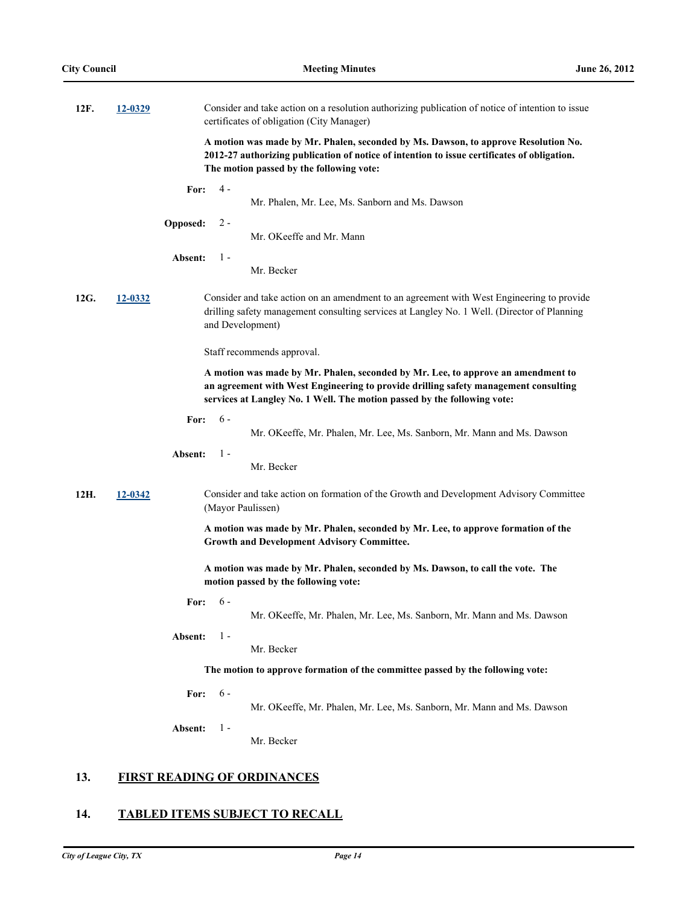| 12F. | 12-0329 | Consider and take action on a resolution authorizing publication of notice of intention to issue<br>certificates of obligation (City Manager)                                                                                                       |
|------|---------|-----------------------------------------------------------------------------------------------------------------------------------------------------------------------------------------------------------------------------------------------------|
|      |         | A motion was made by Mr. Phalen, seconded by Ms. Dawson, to approve Resolution No.<br>2012-27 authorizing publication of notice of intention to issue certificates of obligation.<br>The motion passed by the following vote:                       |
|      |         | 4 -<br>For:<br>Mr. Phalen, Mr. Lee, Ms. Sanborn and Ms. Dawson                                                                                                                                                                                      |
|      |         | Opposed:<br>$2 -$<br>Mr. OKeeffe and Mr. Mann                                                                                                                                                                                                       |
|      |         | $1 -$<br>Absent:<br>Mr. Becker                                                                                                                                                                                                                      |
| 12G. | 12-0332 | Consider and take action on an amendment to an agreement with West Engineering to provide<br>drilling safety management consulting services at Langley No. 1 Well. (Director of Planning<br>and Development)                                        |
|      |         | Staff recommends approval.                                                                                                                                                                                                                          |
|      |         | A motion was made by Mr. Phalen, seconded by Mr. Lee, to approve an amendment to<br>an agreement with West Engineering to provide drilling safety management consulting<br>services at Langley No. 1 Well. The motion passed by the following vote: |
|      |         | $6 -$<br>For:<br>Mr. OKeeffe, Mr. Phalen, Mr. Lee, Ms. Sanborn, Mr. Mann and Ms. Dawson                                                                                                                                                             |
|      |         | Absent:<br>$1 -$<br>Mr. Becker                                                                                                                                                                                                                      |
| 12H. | 12-0342 | Consider and take action on formation of the Growth and Development Advisory Committee<br>(Mayor Paulissen)                                                                                                                                         |
|      |         | A motion was made by Mr. Phalen, seconded by Mr. Lee, to approve formation of the<br><b>Growth and Development Advisory Committee.</b>                                                                                                              |
|      |         | A motion was made by Mr. Phalen, seconded by Ms. Dawson, to call the vote. The<br>motion passed by the following vote:                                                                                                                              |
|      |         | $6 -$<br>For:<br>Mr. OKeeffe, Mr. Phalen, Mr. Lee, Ms. Sanborn, Mr. Mann and Ms. Dawson                                                                                                                                                             |
|      |         | $1 -$<br>Absent:<br>Mr. Becker                                                                                                                                                                                                                      |
|      |         | The motion to approve formation of the committee passed by the following vote:                                                                                                                                                                      |
|      |         | $6-$<br>For:<br>Mr. OKeeffe, Mr. Phalen, Mr. Lee, Ms. Sanborn, Mr. Mann and Ms. Dawson                                                                                                                                                              |
|      |         | $1 -$<br>Absent:<br>Mr. Becker                                                                                                                                                                                                                      |
| 13.  |         | <b>FIRST READING OF ORDINANCES</b>                                                                                                                                                                                                                  |

# **14. TABLED ITEMS SUBJECT TO RECALL**